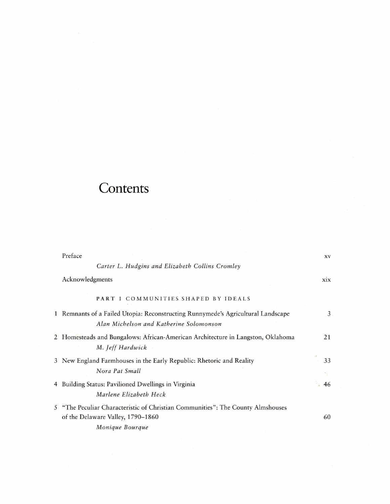## Contents

| Preface                                                                                                                                 | XV         |
|-----------------------------------------------------------------------------------------------------------------------------------------|------------|
| Carter L. Hudgins and Elizabeth Collins Cromley                                                                                         |            |
| Acknowledgments                                                                                                                         | <b>XIX</b> |
| PART I COMMUNITIES SHAPED BY IDEALS                                                                                                     |            |
| 1 Remnants of a Failed Utopia: Reconstructing Runnymede's Agricultural Landscape<br>Alan Michelson and Katherine Solomonson             | 3          |
| 2 Homesteads and Bungalows: African-American Architecture in Langston, Oklahoma<br>M. Jeff Hardwick                                     | 21         |
| 3 New England Farmhouses in the Early Republic: Rhetoric and Reality<br>Nora Pat Small                                                  | 33         |
| 4 Building Status: Pavilioned Dwellings in Virginia<br>Marlene Elizabeth Heck                                                           | 46         |
| 5 "The Peculiar Characteristic of Christian Communities": The County Almshouses<br>of the Delaware Valley, 1790-1860<br>Monique Bourque | 60         |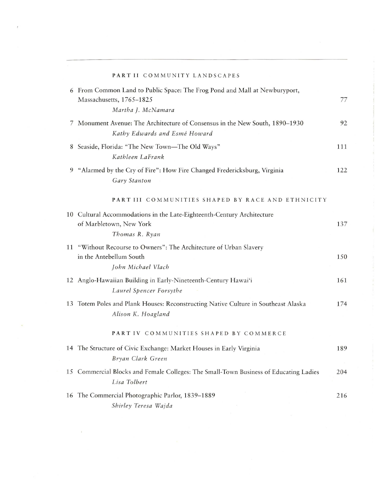|    | PART II COMMUNITY LANDSCAPES                                                                                                 |     |
|----|------------------------------------------------------------------------------------------------------------------------------|-----|
|    | 6 From Common Land to Public Space: The Frog Pond and Mall at Newburyport,<br>Massachusetts, 1765-1825<br>Martha J. McNamara | 77  |
| 7  | Monument Avenue: The Architecture of Consensus in the New South, 1890-1930<br>Kathy Edwards and Esmé Howard                  | 92  |
|    | 8 Seaside, Florida: "The New Town-The Old Ways"<br>Kathleen LaFrank                                                          | 111 |
| 9  | "Alarmed by the Cry of Fire": How Fire Changed Fredericksburg, Virginia<br>Gary Stanton                                      | 122 |
|    | PART III COMMUNITIES SHAPED BY RACE AND ETHNICITY                                                                            |     |
|    | 10 Cultural Accommodations in the Late-Eighteenth-Century Architecture<br>of Marbletown, New York<br>Thomas R. Ryan          | 137 |
| 11 | "Without Recourse to Owners": The Architecture of Urban Slavery<br>in the Antebellum South<br>John Michael Vlach             | 150 |
|    | 12 Anglo-Hawaiian Building in Early-Nineteenth-Century Hawai'i<br>Laurel Spencer Forsythe                                    | 161 |
|    | 13 Totem Poles and Plank Houses: Reconstructing Native Culture in Southeast Alaska<br>Alison K. Hoagland                     | 174 |
|    | PART IV COMMUNITIES SHAPED BY COMMERCE                                                                                       |     |
|    | 14 The Structure of Civic Exchange: Market Houses in Early Virginia<br>Bryan Clark Green                                     | 189 |
|    | 15 Commercial Blocks and Female Colleges: The Small-Town Business of Educating Ladies<br>Lisa Tolbert                        | 204 |
|    | 16 The Commercial Photographic Parlor, 1839-1889<br>Shirley Teresa Wajda                                                     | 216 |